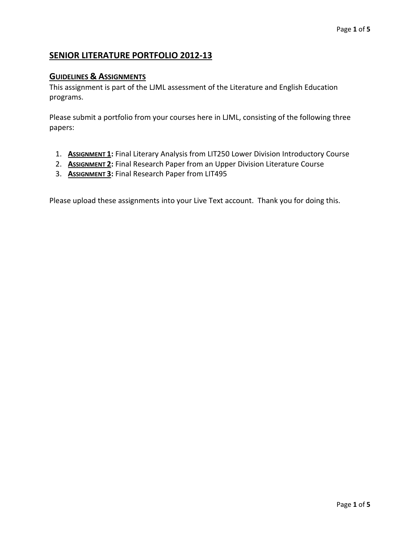# **SENIOR LITERATURE PORTFOLIO 2012-13**

## **GUIDELINES & ASSIGNMENTS**

This assignment is part of the LJML assessment of the Literature and English Education programs.

Please submit a portfolio from your courses here in LJML, consisting of the following three papers:

- 1. **ASSIGNMENT 1:** Final Literary Analysis from LIT250 Lower Division Introductory Course
- 2. **ASSIGNMENT 2:** Final Research Paper from an Upper Division Literature Course
- 3. **ASSIGNMENT 3:** Final Research Paper from LIT495

Please upload these assignments into your Live Text account. Thank you for doing this.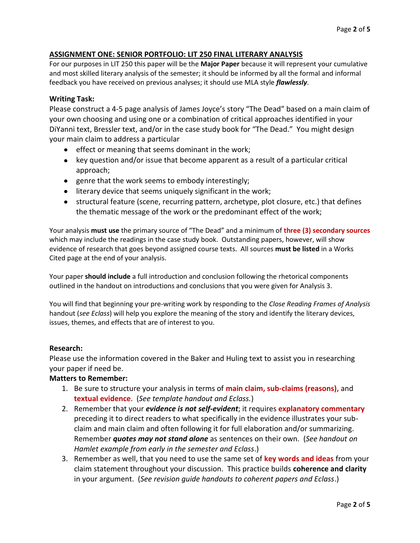## **ASSIGNMENT ONE: SENIOR PORTFOLIO: LIT 250 FINAL LITERARY ANALYSIS**

For our purposes in LIT 250 this paper will be the **Major Paper** because it will represent your cumulative and most skilled literary analysis of the semester; it should be informed by all the formal and informal feedback you have received on previous analyses; it should use MLA style *flawlessly*.

#### **Writing Task:**

Please construct a 4-5 page analysis of James Joyce's story "The Dead" based on a main claim of your own choosing and using one or a combination of critical approaches identified in your DiYanni text, Bressler text, and/or in the case study book for "The Dead." You might design your main claim to address a particular

- **•** effect or meaning that seems dominant in the work;
- key question and/or issue that become apparent as a result of a particular critical approach;
- genre that the work seems to embody interestingly;
- literary device that seems uniquely significant in the work;
- structural feature (scene, recurring pattern, archetype, plot closure, etc.) that defines the thematic message of the work or the predominant effect of the work;

Your analysis **must use** the primary source of "The Dead" and a minimum of **three (3) secondary sources** which may include the readings in the case study book. Outstanding papers, however, will show evidence of research that goes beyond assigned course texts. All sources **must be listed** in a Works Cited page at the end of your analysis.

Your paper **should include** a full introduction and conclusion following the rhetorical components outlined in the handout on introductions and conclusions that you were given for Analysis 3.

You will find that beginning your pre-writing work by responding to the *Close Reading Frames of Analysis* handout (*see Eclass*) will help you explore the meaning of the story and identify the literary devices, issues, themes, and effects that are of interest to you.

#### **Research:**

Please use the information covered in the Baker and Huling text to assist you in researching your paper if need be.

#### **Matters to Remember:**

- 1. Be sure to structure your analysis in terms of **main claim, sub-claims (reasons),** and **textual evidence**. (*See template handout and Eclass.*)
- 2. Remember that your *evidence is not self-evident*; it requires **explanatory commentary** preceding it to direct readers to what specifically in the evidence illustrates your subclaim and main claim and often following it for full elaboration and/or summarizing. Remember *quotes may not stand alone* as sentences on their own. (*See handout on Hamlet example from early in the semester and Eclass*.)
- 3. Remember as well, that you need to use the same set of **key words and ideas** from your claim statement throughout your discussion. This practice builds **coherence and clarity** in your argument. (*See revision guide handouts to coherent papers and Eclass*.)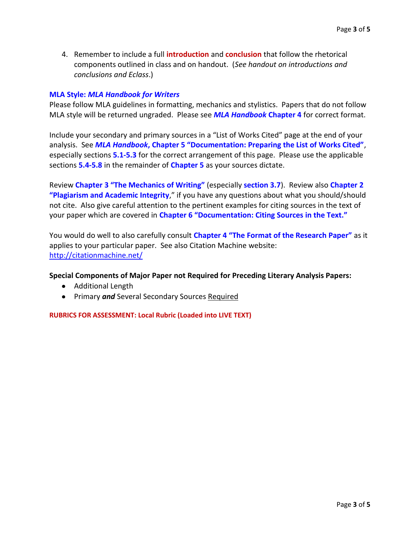4. Remember to include a full **introduction** and **conclusion** that follow the rhetorical components outlined in class and on handout. (*See handout on introductions and conclusions and Eclass*.)

## **MLA Style:** *MLA Handbook for Writers*

Please follow MLA guidelines in formatting, mechanics and stylistics. Papers that do not follow MLA style will be returned ungraded. Please see *MLA Handbook* **Chapter 4** for correct format.

Include your secondary and primary sources in a "List of Works Cited" page at the end of your analysis. See *MLA Handbook***, Chapter 5 "Documentation: Preparing the List of Works Cited"**, especially sections **5.1-5.3** for the correct arrangement of this page. Please use the applicable sections **5.4-5.8** in the remainder of **Chapter 5** as your sources dictate.

Review **Chapter 3 "The Mechanics of Writing"** (especially **section 3.7**). Review also **Chapter 2 "Plagiarism and Academic Integrity**," if you have any questions about what you should/should not cite. Also give careful attention to the pertinent examples for citing sources in the text of your paper which are covered in **Chapter 6 "Documentation: Citing Sources in the Text."**

You would do well to also carefully consult **Chapter 4 "The Format of the Research Paper"** as it applies to your particular paper. See also Citation Machine website: <http://citationmachine.net/>

#### **Special Components of Major Paper not Required for Preceding Literary Analysis Papers:**

- Additional Length
- **•** Primary and Several Secondary Sources Required

**RUBRICS FOR ASSESSMENT: Local Rubric (Loaded into LIVE TEXT)**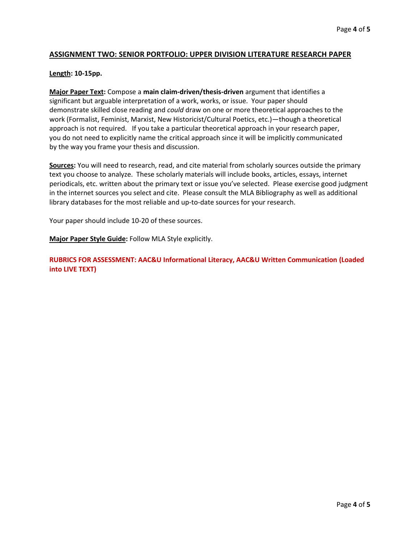## **ASSIGNMENT TWO: SENIOR PORTFOLIO: UPPER DIVISION LITERATURE RESEARCH PAPER**

#### **Length: 10-15pp.**

**Major Paper Text:** Compose a **main claim-driven/thesis-driven** argument that identifies a significant but arguable interpretation of a work, works, or issue. Your paper should demonstrate skilled close reading and *could* draw on one or more theoretical approaches to the work (Formalist, Feminist, Marxist, New Historicist/Cultural Poetics, etc.)—though a theoretical approach is not required. If you take a particular theoretical approach in your research paper, you do not need to explicitly name the critical approach since it will be implicitly communicated by the way you frame your thesis and discussion.

**Sources:** You will need to research, read, and cite material from scholarly sources outside the primary text you choose to analyze. These scholarly materials will include books, articles, essays, internet periodicals, etc. written about the primary text or issue you've selected. Please exercise good judgment in the internet sources you select and cite. Please consult the MLA Bibliography as well as additional library databases for the most reliable and up-to-date sources for your research.

Your paper should include 10-20 of these sources.

**Major Paper Style Guide:** Follow MLA Style explicitly.

**RUBRICS FOR ASSESSMENT: AAC&U Informational Literacy, AAC&U Written Communication (Loaded into LIVE TEXT)**